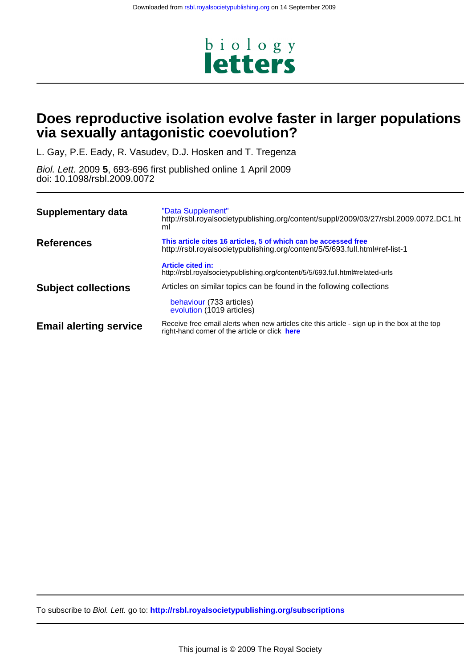

# **via sexually antagonistic coevolution? Does reproductive isolation evolve faster in larger populations**

L. Gay, P.E. Eady, R. Vasudev, D.J. Hosken and T. Tregenza

doi: 10.1098/rsbl.2009.0072 Biol. Lett. 2009 **5**, 693-696 first published online 1 April 2009

| Supplementary data            | "Data Supplement"<br>http://rsbl.royalsocietypublishing.org/content/suppl/2009/03/27/rsbl.2009.0072.DC1.ht<br>ml                                |  |  |  |  |
|-------------------------------|-------------------------------------------------------------------------------------------------------------------------------------------------|--|--|--|--|
| <b>References</b>             | This article cites 16 articles, 5 of which can be accessed free<br>http://rsbl.royalsocietypublishing.org/content/5/5/693.full.html#ref-list-1  |  |  |  |  |
|                               | <b>Article cited in:</b><br>http://rsbl.royalsocietypublishing.org/content/5/5/693.full.html#related-urls                                       |  |  |  |  |
| <b>Subject collections</b>    | Articles on similar topics can be found in the following collections<br>behaviour (733 articles)<br>evolution (1019 articles)                   |  |  |  |  |
| <b>Email alerting service</b> | Receive free email alerts when new articles cite this article - sign up in the box at the top<br>right-hand corner of the article or click here |  |  |  |  |

To subscribe to Biol. Lett. go to: **<http://rsbl.royalsocietypublishing.org/subscriptions>**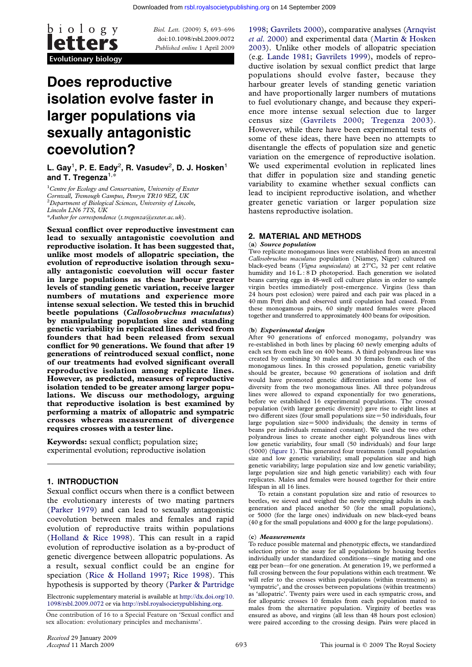

doi:10.1098/rsbl.2009.0072 Published online 1 [April 2009](http://rsbl.royalsocietypublishing.org/)

# Does reproductive isolation evolve faster in larger populations via sexually antagonistic coevolution?

L. Gay $^1$ , P. E. Eady $^2$ , R. Vasudev $^2$ , D. J. Hosken $^1$ and T. Tregenza $^{1,\ast}$ 

 ${}^{1}$ Centre for Ecology and Conservation, University of Exeter Cornwall, Tremough Campus, Penryn TR10 9EZ, UK  ${}^{2}$ Department of Biological Sciences, University of Lincoln, Lincoln LN6 7TS, UK \*Author for correspondence (t.tregenza@exeter.ac.uk).

Sexual conflict over reproductive investment can

lead to sexually antagonistic coevolution and reproductive isolation. It has been suggested that, unlike most models of allopatric speciation, the evolution of reproductive isolation through sexually antagonistic coevolution will occur faster in large populations as these harbour greater levels of standing genetic variation, receive larger numbers of mutations and experience more intense sexual selection. We tested this in bruchid beetle populations (Callosobruchus maculatus) by manipulating population size and standing genetic variability in replicated lines derived from founders that had been released from sexual conflict for 90 generations. We found that after 19 generations of reintroduced sexual conflict, none of our treatments had evolved significant overall reproductive isolation among replicate lines. However, as predicted, measures of reproductive isolation tended to be greater among larger populations. We discuss our methodology, arguing that reproductive isolation is best examined by performing a matrix of allopatric and sympatric crosses whereas measurement of divergence requires crosses with a tester line.

Keywords: sexual conflict; population size; experimental evolution; reproductive isolation

# 1. INTRODUCTION

Sexual conflict occurs when there is a conflict between the evolutionary interests of two mating partners (Parker 1979) and can lead to sexually antagonistic coevolution between males and females and rapid evolution of reproductive traits within populations (Holland & Rice 1998). This can result in a rapid e[volution of r](#page-4-0)eproductive isolation as a by-product of genetic divergence between allopatric populations. As a result, sexual conflict could be an engine for s[peciation \(Rice & Hol](#page-4-0)land 1997; Rice 1998). This hypothesis is supported by theory (Parker & Partridge

Electronic supplementary material is available at http://dx.doi.org/10. 1098/rsbl.2009.0072 or via http://rsbl.royalsocietypublishing.org.

One contributi[on of 16 to a Special Feature](#page-4-0) [on 'Sexual con](#page-4-0)flict and sex allocation: evolutionary principles and [mechanisms'.](#page-4-0)

et al. 2000) and experimental data (Martin & Hosken 2003). Unlike other models of allopatric speciation (e.g. Lande 1981; Gavrilets 1999), models of repro[ducti](#page-4-0)v[e isolation by s](#page-4-0)exual conflict predict t[hat large](#page-4-0) [population](#page-4-0)s should evolve faste[r, because they](#page-4-0) [harbo](#page-4-0)ur greater levels of standing genetic variation and [have proportionally larger num](#page-4-0)bers of mutations to fuel evolutionary change, and because they experience more intense sexual selection due to larger census size (Gavrilets 2000; Tregenza 2003). However, while there have been experimental tests of some of these ideas, there have been no attempts to disentangle the effects of population size and genetic variation on th[e emergence of re](#page-4-0)p[roductive isolation](#page-4-0). We used experimental evolution in replicated lines that differ in population size and standing genetic variability to examine whether sexual conflicts can lead to incipient reproductive isolation, and whether greater genetic variation or larger population size hastens reproductive isolation.

## 2. MATERIAL AND METHODS

#### (a) Source population

Two replicate monogamous lines were established from an ancestral Callosobruchus maculatus population (Niamey, Niger) cultured on black-eyed beans (Vigna unguiculata) at 27°C, 32 per cent relative humidity and  $16 L : 8 D$  photoperiod. Each generation we isolated beans carrying eggs in 48-well cell culture plates in order to sample virgin beetles immediately post-emergence. Virgins (less than 24 hours post eclosion) were paired and each pair was placed in a 40 mm Petri dish and observed until copulation had ceased. From these monogamous pairs, 60 singly mated females were placed together and transferred to approximately 400 beans for oviposition.

#### (b) Experimental design

After 90 generations of enforced monogamy, polyandry was re-established in both lines by placing 60 newly emerging adults of each sex from each line on 400 beans. A third polyandrous line was created by combining 30 males and 30 females from each of the monogamous lines. In this crossed population, genetic variability should be greater, because 90 generations of isolation and drift would have promoted genetic differentiation and some loss of diversity from the two monogamous lines. All three polyandrous lines were allowed to expand exponentially for two generations, before we established 16 experimental populations. The crossed population (with larger genetic diversity) gave rise to eight lines at two different sizes (four small populations size=50 individuals, four large population  $size=5000$  individuals; the density in terms of beans per individuals remained constant). We used the two other polyandrous lines to create another eight polyandrous lines with low genetic variability, four small (50 individuals) and four large (5000) (figure 1). This generated four treatments (small population size and low genetic variability; small population size and high genetic variability; large population size and low genetic variability; large population size and high genetic variability) each with four replicates. Males and females were housed together for their entire lifespan in all 16 lines.

To r[etain](#page-2-0) [a](#page-2-0) constant population size and ratio of resources to beetles, we sieved and weighed the newly emerging adults in each generation and placed another 50 (for the small populations), or 5000 (for the large ones) individuals on new black-eyed beans (40 g for the small populations and 4000 g for the large populations).

#### (c) Measurements

To reduce possible maternal and phenotypic effects, we standardized selection prior to the assay for all populations by housing beetles individually under standardized conditions—single mating and one egg per bean—for one generation. At generation 19, we performed a full crossing between the four populations within each treatment. We will refer to the crosses within populations (within treatments) as 'sympatric', and the crosses between populations (within treatments) as 'allopatric'. Twenty pairs were used in each sympatric cross, and for allopatric crosses 10 females from each population mated to males from the alternative population. Virginity of beetles was ensured as above, and virgins (all less than 48 hours post eclosion) were paired according to the crossing design. Pairs were placed in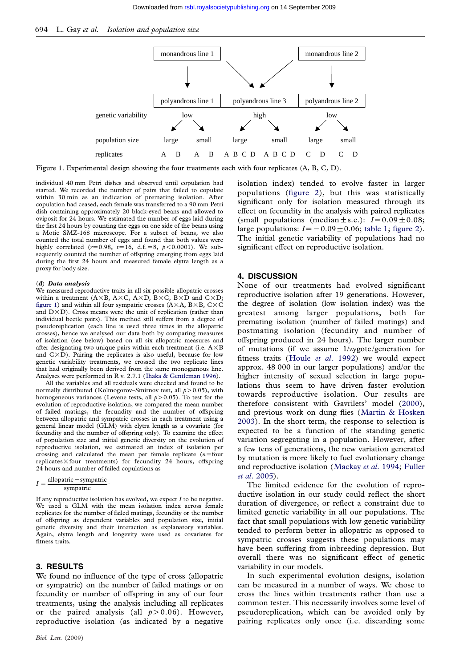<span id="page-2-0"></span>

Figure 1. Experimental design showing the four treatments each with four replicates (A, B, C, D).

individual 40 mm Petri dishes and observed until copulation had started. We recorded the number of pairs that failed to copulate within 30 min as an indication of premating isolation. After copulation had ceased, each female was transferred to a 90 mm Petri dish containing approximately 20 black-eyed beans and allowed to oviposit for 24 hours. We estimated the number of eggs laid during the first 24 hours by counting the eggs on one side of the beans using a Motic SMZ-168 microscope. For a subset of beans, we also counted the total number of eggs and found that both values were highly correlated ( $r=0.98$ ,  $t=16$ , d.f.  $=8$ ,  $p < 0.0001$ ). We subsequently counted the number of offspring emerging from eggs laid during the first 24 hours and measured female elytra length as a proxy for body size.

#### (d) Data analysis

We measured reproductive traits in all six possible allopatric crosses within a treatment (A $\times$ B, A $\times$ C, A $\times$ D, B $\times$ C, B $\times$ D and C $\times$ D; figure 1) and within all four sympatric crosses ( $A \times A$ ,  $B \times B$ ,  $C \times C$ and  $D \times D$ ). Cross means were the unit of replication (rather than individual beetle pairs). This method still suffers from a degree of pseudoreplication (each line is used three times in the allopatric crosses), hence we analysed our data both by comparing measures of isolation (see below) based on all six allopatric measures and after designating two unique pairs within each treatment (i.e.  $\mathbf{A}\!\times\!\mathbf{B}$ and  $C \times D$ ). Pairing the replicates is also useful, because for low genetic variability treatments, we crossed the two replicate lines that had originally been derived from the same monogamous line. Analyses were performed in R v. 2.7.1 (Ihaka & Gentleman 1996).

All the variables and all residuals were checked and found to be normally distributed (Kolmogorov–Smirnov test, all  $p > 0.05$ ), with homogeneous variances (Levene tests, all  $p > 0.05$ ). To test for the evolution of reproductive isolation, we compared the mean number of failed matings, the fecundity and the number of offspring between allopatric and sympatric cross[es](#page-4-0) [in](#page-4-0) [each](#page-4-0) [treatment](#page-4-0) [using](#page-4-0) a general linear model (GLM) with elytra length as a covariate (for fecundity and the number of offspring only). To examine the effect of population size and initial genetic diversity on the evolution of reproductive isolation, we estimated an index of isolation per crossing and calculated the mean per female replicate  $(n=four)$ replicates $\times$  four treatments) for fecundity 24 hours, offspring 24 hours and number of failed copulations as

$$
I = \frac{\text{allopatric} - \text{sympatric}}{\text{sympatric}}
$$

If any reproductive isolation has evolved, we expect  $I$  to be negative. We used a GLM with the mean isolation index across female replicates for the number of failed matings, fecundity or the number of offspring as dependent variables and population size, initial genetic diversity and their interaction as explanatory variables. Again, elytra length and longevity were used as covariates for fitness traits.

.

# 3. RESULTS

We found no influence of the type of cross (allopatric or sympatric) on the number of failed matings or on fecundity or number of offspring in any of our four treatments, using the analysis including all replicates or the paired analysis (all  $p > 0.06$ ). However, reproductive isolation (as indicated by a negative

isolation index) tended to evolve faster in larger populations (figure 2), but this was statistically significant only for isolation measured through its effect on fecundity in the analysis with paired replicates (small populations (median  $\pm$  s.e.):  $I=0.09\pm0.08$ ; large populations:  $I = -0.09 \pm 0.06$ ; table 1; figure 2). The initial ge[netic](#page-3-0) [vari](#page-3-0)ability of populations had no significant effect on reproductive isolation.

### 4. DISCUSSION

None of our treatments had evolved significant reproductive isolation after 19 generations. However, the degree of isolation (low isolation index) was the greatest among larger populations, both for premating isolation (number of failed matings) and postmating isolation (fecundity and number of offspring produced in 24 hours). The larger number of mutations (if we assume 1/zygote/generation for fitness traits (Houle et al. 1992) we would expect approx. 48 000 in our larger populations) and/or the higher intensity of sexual selection in large populations thus seem to have driven faster evolution towards repr[oductive isolation.](#page-4-0) Our results are therefore consistent with Gavrilets' model (2000), and previous work on dung flies (Martin & Hosken 2003). In the short term, the response to selection is expected to be a function of the standing genetic variation segregating in a population. Howeve[r, afte](#page-4-0)r a few tens of generations, the new [variation generated](#page-4-0) [by m](#page-4-0)utation is more likely to fuel evolutionary change and reproductive isolation (Mackay et al. 1994; Fuller et al. 2005).

The limited evidence for the evolution of reproductive isolation in our study could reflect the short duration of divergence, or [reflect a constraint](#page-4-0) [due to](#page-4-0) [limited gen](#page-4-0)etic variability in all our populations. The fact that small populations with low genetic variability tended to perform better in allopatric as opposed to sympatric crosses suggests these populations may have been suffering from inbreeding depression. But overall there was no significant effect of genetic variability in our models.

In such experimental evolution designs, isolation can be measured in a number of ways. We chose to cross the lines within treatments rather than use a common tester. This necessarily involves some level of pseudoreplication, which can be avoided only by pairing replicates only once (i.e. discarding some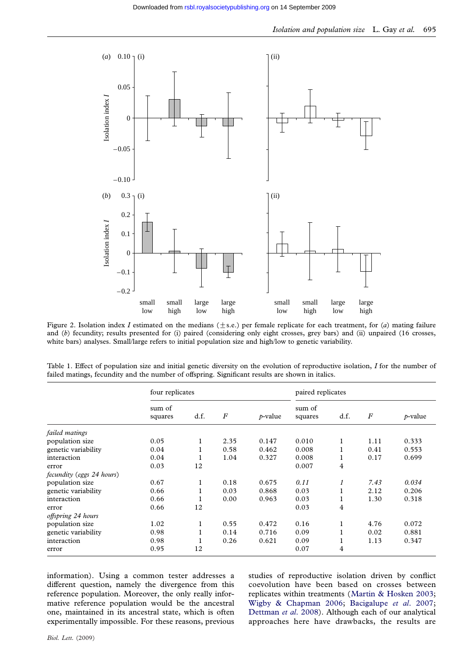<span id="page-3-0"></span>

Figure 2. Isolation index I estimated on the medians  $(\pm s.e.)$  per female replicate for each treatment, for (a) mating failure and (b) fecundity; results presented for (i) paired (considering only eight crosses, grey bars) and (ii) unpaired (16 crosses, white bars) analyses. Small/large refers to initial population size and high/low to genetic variability.

|                           | four replicates   |      |                  |            | paired replicates |          |          |            |
|---------------------------|-------------------|------|------------------|------------|-------------------|----------|----------|------------|
|                           | sum of<br>squares | d.f. | $\boldsymbol{F}$ | $p$ -value | sum of<br>squares | d.f.     | $\cal F$ | $p$ -value |
| failed matings            |                   |      |                  |            |                   |          |          |            |
| population size           | 0.05              | 1    | 2.35             | 0.147      | 0.010             |          | 1.11     | 0.333      |
| genetic variability       | 0.04              |      | 0.58             | 0.462      | 0.008             | T        | 0.41     | 0.553      |
| interaction               | 0.04              |      | 1.04             | 0.327      | 0.008             | 1        | 0.17     | 0.699      |
| error                     | 0.03              | 12   |                  |            | 0.007             | 4        |          |            |
| fecundity (eggs 24 hours) |                   |      |                  |            |                   |          |          |            |
| population size           | 0.67              | 1    | 0.18             | 0.675      | 0.11              | 1        | 7.43     | 0.034      |
| genetic variability       | 0.66              |      | 0.03             | 0.868      | 0.03              | <b>I</b> | 2.12     | 0.206      |
| interaction               | 0.66              |      | 0.00             | 0.963      | 0.03              |          | 1.30     | 0.318      |
| error                     | 0.66              | 12   |                  |            | 0.03              | 4        |          |            |
| offspring 24 hours        |                   |      |                  |            |                   |          |          |            |
| population size           | 1.02              | 1    | 0.55             | 0.472      | 0.16              | T        | 4.76     | 0.072      |
| genetic variability       | 0.98              |      | 0.14             | 0.716      | 0.09              | <b>I</b> | 0.02     | 0.881      |
| interaction               | 0.98              |      | 0.26             | 0.621      | 0.09              |          | 1.13     | 0.347      |
| error                     | 0.95              | 12   |                  |            | 0.07              | 4        |          |            |

Table 1. Effect of population size and initial genetic diversity on the evolution of reproductive isolation, I for the number of failed matings, fecundity and the number of offspring. Significant results are shown in italics.

information). Using a common tester addresses a different question, namely the divergence from this reference population. Moreover, the only really informative reference population would be the ancestral one, maintained in its ancestral state, which is often experimentally impossible. For these reasons, previous

studies of reproductive isolation driven by conflict coevolution have been based on crosses between replicates within treatments (Martin & Hosken 2003; Wigby & Chapman 2006; Bacigalupe et al. 2007; Dettman et al. 2008). Although each of our analytical approaches here have drawbacks, the results are